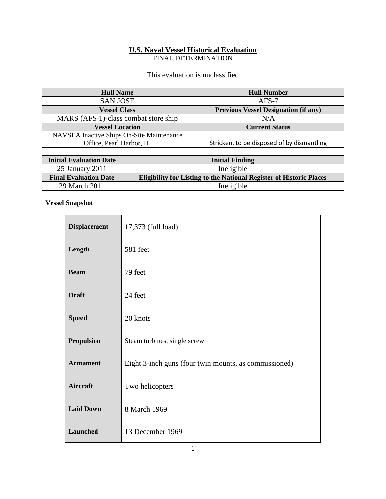# **U.S. Naval Vessel Historical Evaluation**

FINAL DETERMINATION

### This evaluation is unclassified

| <b>Hull Name</b>                          | <b>Hull Number</b>                          |
|-------------------------------------------|---------------------------------------------|
| <b>SAN JOSE</b>                           | $AFS-7$                                     |
| <b>Vessel Class</b>                       | <b>Previous Vessel Designation (if any)</b> |
| MARS (AFS-1)-class combat store ship      | N/A                                         |
| <b>Vessel Location</b>                    | <b>Current Status</b>                       |
| NAVSEA Inactive Ships On-Site Maintenance |                                             |
| Office, Pearl Harbor, HI                  | Stricken, to be disposed of by dismantling  |

| <b>Initial Evaluation Date</b> | <b>Initial Finding</b>                                                     |
|--------------------------------|----------------------------------------------------------------------------|
| 25 January 2011                | Ineligible                                                                 |
| <b>Final Evaluation Date</b>   | <b>Eligibility for Listing to the National Register of Historic Places</b> |
| 29 March 2011                  | Ineligible                                                                 |

## **Vessel Snapshot**

r.

| <b>Displacement</b> | 17,373 (full load)                                    |
|---------------------|-------------------------------------------------------|
| Length              | 581 feet                                              |
| <b>Beam</b>         | 79 feet                                               |
| <b>Draft</b>        | 24 feet                                               |
| <b>Speed</b>        | 20 knots                                              |
| <b>Propulsion</b>   | Steam turbines, single screw                          |
| <b>Armament</b>     | Eight 3-inch guns (four twin mounts, as commissioned) |
| <b>Aircraft</b>     | Two helicopters                                       |
| <b>Laid Down</b>    | 8 March 1969                                          |
| Launched            | 13 December 1969                                      |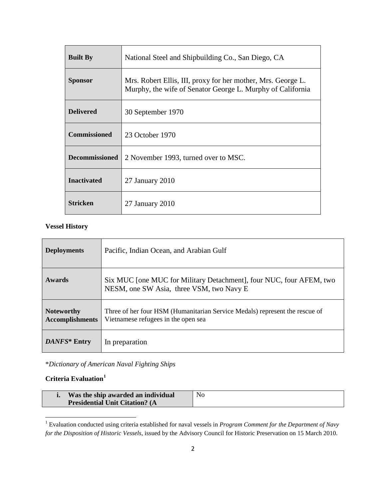| <b>Built By</b>       | National Steel and Shipbuilding Co., San Diego, CA                                                                         |  |
|-----------------------|----------------------------------------------------------------------------------------------------------------------------|--|
| <b>Sponsor</b>        | Mrs. Robert Ellis, III, proxy for her mother, Mrs. George L.<br>Murphy, the wife of Senator George L. Murphy of California |  |
| <b>Delivered</b>      | 30 September 1970                                                                                                          |  |
| <b>Commissioned</b>   | 23 October 1970                                                                                                            |  |
| <b>Decommissioned</b> | 2 November 1993, turned over to MSC.                                                                                       |  |
| <b>Inactivated</b>    | $27$ January $2010$                                                                                                        |  |
| <b>Stricken</b>       | $27$ January $2010$                                                                                                        |  |

### **Vessel History**

| <b>Deployments</b>                          | Pacific, Indian Ocean, and Arabian Gulf                                                                            |
|---------------------------------------------|--------------------------------------------------------------------------------------------------------------------|
| <b>Awards</b>                               | Six MUC [one MUC for Military Detachment], four NUC, four AFEM, two<br>NESM, one SW Asia, three VSM, two Navy E    |
| <b>Noteworthy</b><br><b>Accomplishments</b> | Three of her four HSM (Humanitarian Service Medals) represent the rescue of<br>Vietnamese refugees in the open sea |
| DANFS* Entry                                | In preparation                                                                                                     |

\**Dictionary of American Naval Fighting Ships*

### **Criteria Evaluation[1](#page-1-0)**

| Was the ship awarded an individual     | No |
|----------------------------------------|----|
| <b>Presidential Unit Citation? (A)</b> |    |

<span id="page-1-0"></span><sup>1</sup> Evaluation conducted using criteria established for naval vessels in *Program Comment for the Department of Navy for the Disposition of Historic Vessels*, issued by the Advisory Council for Historic Preservation on 15 March 2010.